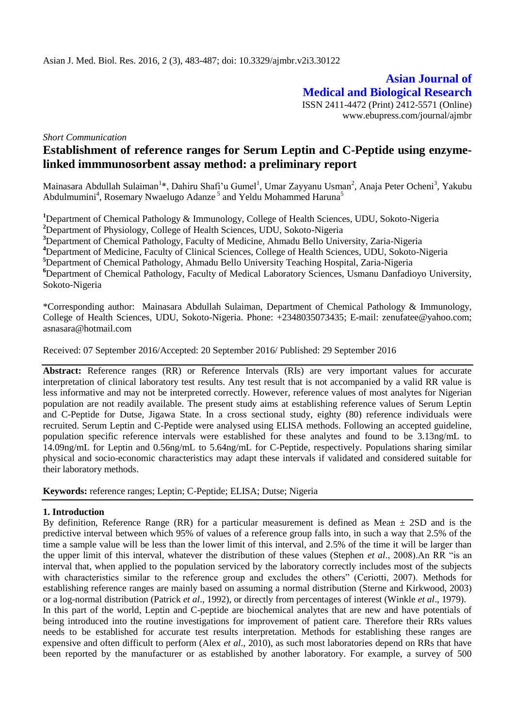**Asian Journal of Medical and Biological Research** ISSN 2411-4472 (Print) 2412-5571 (Online) www.ebupress.com/journal/ajmbr

#### *Short Communication*

# **Establishment of reference ranges for Serum Leptin and C-Peptide using enzymelinked immmunosorbent assay method: a preliminary report**

Mainasara Abdullah Sulaiman<sup>1</sup>\*, Dahiru Shafi'u Gumel<sup>1</sup>, Umar Zayyanu Usman<sup>2</sup>, Anaja Peter Ocheni<sup>3</sup>, Yakubu Abdulmumini<sup>4</sup>, Rosemary Nwaelugo Adanze<sup>5</sup> and Yeldu Mohammed Haruna<sup>5</sup>

**<sup>1</sup>**Department of Chemical Pathology & Immunology, College of Health Sciences, UDU, Sokoto-Nigeria

**<sup>2</sup>**Department of Physiology, College of Health Sciences, UDU, Sokoto-Nigeria

**<sup>3</sup>**Department of Chemical Pathology, Faculty of Medicine, Ahmadu Bello University, Zaria-Nigeria

**<sup>4</sup>**Department of Medicine, Faculty of Clinical Sciences, College of Health Sciences, UDU, Sokoto-Nigeria

**<sup>5</sup>**Department of Chemical Pathology, Ahmadu Bello University Teaching Hospital, Zaria-Nigeria

**<sup>6</sup>**Department of Chemical Pathology, Faculty of Medical Laboratory Sciences, Usmanu Danfadioyo University, Sokoto-Nigeria

\*Corresponding author: Mainasara Abdullah Sulaiman, Department of Chemical Pathology & Immunology, College of Health Sciences, UDU, Sokoto-Nigeria. Phone: +2348035073435; E-mail: [zenufatee@yahoo.com;](mailto:zenufatee@yahoo.com) asnasar[a@hotmail.com](mailto:wasagu55@yahoo.com)

Received: 07 September 2016/Accepted: 20 September 2016/ Published: 29 September 2016

**Abstract:** Reference ranges (RR) or Reference Intervals (RIs) are very important values for accurate interpretation of clinical laboratory test results. Any test result that is not accompanied by a valid RR value is less informative and may not be interpreted correctly. However, reference values of most analytes for Nigerian population are not readily available. The present study aims at establishing reference values of Serum Leptin and C-Peptide for Dutse, Jigawa State. In a cross sectional study, eighty (80) reference individuals were recruited. Serum Leptin and C-Peptide were analysed using ELISA methods. Following an accepted guideline, population specific reference intervals were established for these analytes and found to be 3.13ng/mL to 14.09ng/mL for Leptin and 0.56ng/mL to 5.64ng/mL for C-Peptide, respectively. Populations sharing similar physical and socio-economic characteristics may adapt these intervals if validated and considered suitable for their laboratory methods.

**Keywords:** reference ranges; Leptin; C-Peptide; ELISA; Dutse; Nigeria

#### **1. Introduction**

By definition, Reference Range (RR) for a particular measurement is defined as Mean  $\pm$  2SD and is the predictive interval between which 95% of values of a reference group falls into, in such a way that 2.5% of the time a sample value will be less than the lower limit of this interval, and 2.5% of the time it will be larger than the upper limit of this interval, whatever the distribution of these values (Stephen *et al*., 2008).An RR "is an interval that, when applied to the population serviced by the laboratory correctly includes most of the subjects with characteristics similar to the reference group and excludes the others" (Ceriotti, 2007). Methods for establishing reference ranges are mainly based on assuming a [normal distribution](https://en.wikipedia.org/wiki/Normal_distribution) (Sterne and Kirkwood, 2003) or a [log-normal distribution](https://en.wikipedia.org/wiki/Log-normal_distribution) (Patrick *et al*., 1992), or directly from percentages of interest (Winkle *et al*., 1979). In this part of the world, Leptin and C-peptide are biochemical analytes that are new and have potentials of being introduced into the routine investigations for improvement of patient care. Therefore their RRs values needs to be established for accurate test results interpretation. Methods for establishing these ranges are expensive and often difficult to perform (Alex *et al*., 2010), as such most laboratories depend on RRs that have been reported by the manufacturer or as established by another laboratory. For example, a survey of 500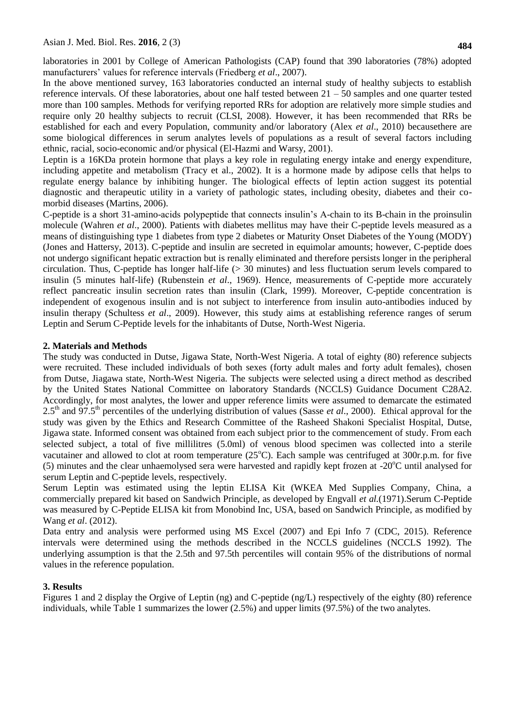laboratories in 2001 by College of American Pathologists (CAP) found that 390 laboratories (78%) adopted manufacturers' values for reference intervals (Friedberg *et al*., 2007).

In the above mentioned survey, 163 laboratories conducted an internal study of healthy subjects to establish reference intervals. Of these laboratories, about one half tested between  $21 - 50$  samples and one quarter tested more than 100 samples. Methods for verifying reported RRs for adoption are relatively more simple studies and require only 20 healthy subjects to recruit (CLSI, 2008). However, it has been recommended that RRs be established for each and every Population, community and/or laboratory (Alex *et al*., 2010) becausethere are some biological differences in serum analytes levels of populations as a result of several factors including ethnic, racial, socio-economic and/or physical (El-Hazmi and Warsy, 2001).

Leptin is a 16KDa protein hormone that plays a key role in regulating energy intake and energy expenditure, including appetite and metabolism (Tracy et al., 2002). It is a hormone made by adipose cells that helps to regulate energy balance by inhibiting hunger. The biological effects of leptin action suggest its potential diagnostic and therapeutic utility in a variety of pathologic states, including obesity, diabetes and their comorbid diseases (Martins, 2006).

C-peptide is a short 31-amino-acids polypeptide that connects insulin's A-chain to its B-chain in the proinsulin molecule (Wahren *et al*., 2000). Patients with diabetes mellitus may have their C-peptide levels measured as a means of distinguishing type 1 diabetes from type 2 diabetes or Maturity Onset Diabetes of the Young (MODY) (Jones and Hattersy, 2013). C-peptide and insulin are secreted in equimolar amounts; however, C-peptide does not undergo significant hepatic extraction but is renally eliminated and therefore persists longer in the peripheral circulation. Thus, C-peptide has longer half-life (> 30 minutes) and less fluctuation serum levels compared to insulin (5 minutes half-life) (Rubenstein *et al*., 1969). Hence, measurements of C-peptide more accurately reflect pancreatic insulin secretion rates than insulin (Clark, 1999). Moreover, C-peptide concentration is independent of exogenous insulin and is not subject to interference from insulin auto-antibodies induced by insulin therapy (Schultess *et al*., 2009). However, this study aims at establishing reference ranges of serum Leptin and Serum C-Peptide levels for the inhabitants of Dutse, North-West Nigeria.

# **2. Materials and Methods**

The study was conducted in Dutse, Jigawa State, North-West Nigeria. A total of eighty (80) reference subjects were recruited. These included individuals of both sexes (forty adult males and forty adult females), chosen from Dutse, Jiagawa state, North-West Nigeria. The subjects were selected using a direct method as described by the United States National Committee on laboratory Standards (NCCLS) Guidance Document C28A2. Accordingly, for most analytes, the lower and upper reference limits were assumed to demarcate the estimated 2.5th and 97.5th percentiles of the underlying distribution of values (Sasse *et al*., 2000). Ethical approval for the study was given by the Ethics and Research Committee of the Rasheed Shakoni Specialist Hospital, Dutse, Jigawa state. Informed consent was obtained from each subject prior to the commencement of study. From each selected subject, a total of five millilitres (5.0ml) of venous blood specimen was collected into a sterile vacutainer and allowed to clot at room temperature  $(25^{\circ}C)$ . Each sample was centrifuged at 300r.p.m. for five (5) minutes and the clear unhaemolysed sera were harvested and rapidly kept frozen at  $-20^{\circ}$ C until analysed for serum Leptin and C-peptide levels, respectively.

Serum Leptin was estimated using the leptin ELISA Kit (WKEA Med Supplies Company, China, a commercially prepared kit based on Sandwich Principle, as developed by Engvall *et al.*(1971).Serum C-Peptide was measured by C-Peptide ELISA kit from Monobind Inc, USA, based on Sandwich Principle, as modified by Wang *et al*. (2012).

Data entry and analysis were performed using MS Excel (2007) and Epi Info 7 (CDC, 2015). Reference intervals were determined using the methods described in the NCCLS guidelines (NCCLS 1992). The underlying assumption is that the 2.5th and 97.5th percentiles will contain 95% of the distributions of normal values in the reference population.

#### **3. Results**

Figures 1 and 2 display the Orgive of Leptin (ng) and C-peptide (ng/L) respectively of the eighty (80) reference individuals, while Table 1 summarizes the lower (2.5%) and upper limits (97.5%) of the two analytes.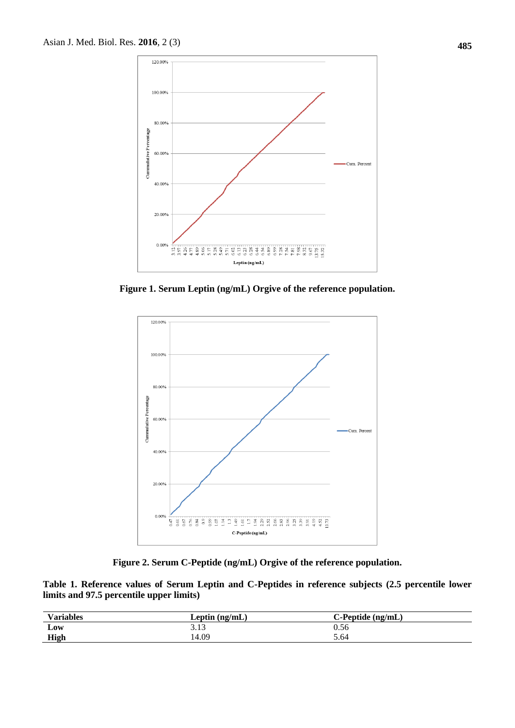

**Figure 1. Serum Leptin (ng/mL) Orgive of the reference population.**



**Figure 2. Serum C-Peptide (ng/mL) Orgive of the reference population.**

**Table 1. Reference values of Serum Leptin and C-Peptides in reference subjects (2.5 percentile lower limits and 97.5 percentile upper limits)**

| <b>Variables</b> | Leptin $(ng/mL)$ | $C$ -Peptide $(ng/mL)$ |
|------------------|------------------|------------------------|
| Low              | 2.12<br>3.13     | 0.56                   |
| <b>High</b>      | 14.09            | 5.64                   |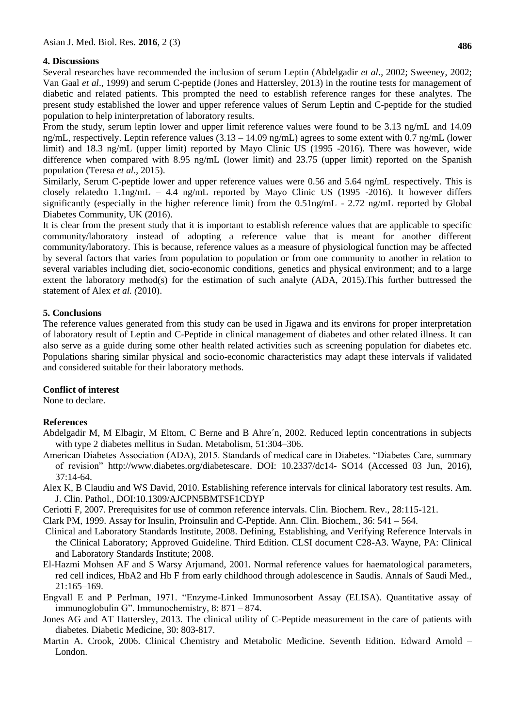# **4. Discussions**

Several researches have recommended the inclusion of serum Leptin (Abdelgadir *et al*., 2002; Sweeney, 2002; Van Gaal *et al*., 1999) and serum C-peptide (Jones and Hattersley, 2013) in the routine tests for management of diabetic and related patients. This prompted the need to establish reference ranges for these analytes. The present study established the lower and upper reference values of Serum Leptin and C-peptide for the studied population to help ininterpretation of laboratory results.

From the study, serum leptin lower and upper limit reference values were found to be 3.13 ng/mL and 14.09 ng/mL, respectively. Leptin reference values  $(3.13 - 14.09 \text{ ng/mL})$  agrees to some extent with 0.7 ng/mL (lower limit) and 18.3 ng/mL (upper limit) reported by Mayo Clinic US (1995 -2016). There was however, wide difference when compared with 8.95 ng/mL (lower limit) and 23.75 (upper limit) reported on the Spanish population (Teresa *et al*., 2015).

Similarly, Serum C-peptide lower and upper reference values were 0.56 and 5.64 ng/mL respectively. This is closely relatedto  $1.1$ ng/mL – 4.4 ng/mL reported by Mayo Clinic US (1995 -2016). It however differs significantly (especially in the higher reference limit) from the 0.51ng/mL - 2.72 ng/mL reported by Global Diabetes Community, UK (2016).

It is clear from the present study that it is important to establish reference values that are applicable to specific community/laboratory instead of adopting a reference value that is meant for another different community/laboratory. This is because, reference values as a measure of physiological function may be affected by several factors that varies from population to population or from one community to another in relation to several variables including diet, socio-economic conditions, genetics and physical environment; and to a large extent the laboratory method(s) for the estimation of such analyte (ADA, 2015).This further buttressed the statement of Alex *et al. (*2010).

# **5. Conclusions**

The reference values generated from this study can be used in Jigawa and its environs for proper interpretation of laboratory result of Leptin and C-Peptide in clinical management of diabetes and other related illness. It can also serve as a guide during some other health related activities such as screening population for diabetes etc. Populations sharing similar physical and socio-economic characteristics may adapt these intervals if validated and considered suitable for their laboratory methods.

#### **Conflict of interest**

None to declare.

#### **References**

- Abdelgadir M, M Elbagir, M Eltom, C Berne and B Ahre´n, 2002. Reduced leptin concentrations in subjects with type 2 diabetes mellitus in Sudan. Metabolism, 51:304–306.
- American Diabetes Association (ADA), 2015. Standards of medical care in Diabetes. "Diabetes Care, summary of revision" [http://www.diabetes.org/diabetescare.](http://www.diabetes.org/diabetescare) DOI: 10.2337/dc14- SO14 (Accessed 03 Jun, 2016), 37:14-64.
- Alex K, B Claudiu and WS David, 2010. Establishing reference intervals for clinical laboratory test results*.* Am. J. Clin. Pathol., DOI:10.1309/AJCPN5BMTSF1CDYP
- Ceriotti F, 2007. Prerequisites for use of common reference intervals. Clin. Biochem. Rev., 28:115-121.
- Clark PM, 1999. Assay for Insulin, Proinsulin and C-Peptide. Ann. Clin. Biochem., 36: 541 564.
- Clinical and Laboratory Standards Institute, 2008. Defining, Establishing, and Verifying Reference Intervals in the Clinical Laboratory; Approved Guideline. Third Edition. CLSI document C28-A3. Wayne, PA: Clinical and Laboratory Standards Institute; 2008.
- El-Hazmi Mohsen AF and S Warsy Arjumand, 2001. Normal reference values for haematological parameters, red cell indices, HbA2 and Hb F from early childhood through adolescence in Saudis. Annals of Saudi Med., 21:165–169.
- Engvall E and P Perlman, 1971. "Enzyme-Linked Immunosorbent Assay (ELISA). Quantitative assay of immunoglobulin G". Immunochemistry, 8: 871 – 874.
- Jones AG and AT Hattersley, 2013. The clinical utility of C-Peptide measurement in the care of patients with diabetes. Diabetic Medicine*,* 30: 803-817.
- Martin A. Crook, 2006. Clinical Chemistry and Metabolic Medicine. Seventh Edition. Edward Arnold London.